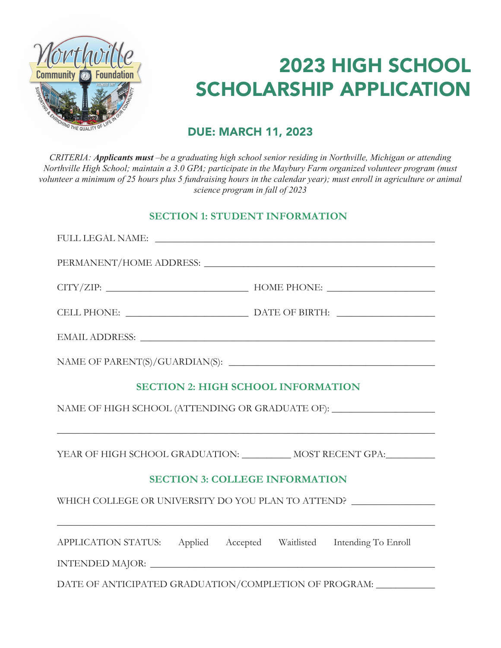

# 2023 HIGH SCHOOL SCHOLARSHIP APPLICATION

# **DUE: MARCH 11, 2023**

**DUE: MARCH 11, 2019** *CRITERIA: Applicants must –be a graduating high school senior residing in Northville, Michigan or attending*  General Criteria: *Applicant must maintain a 3.0 GPA Northville High School; maintain a 3.0 GPA; participate in the Maybury Farm organized volunteer program (must*  volunteer a minimum of 25 hours plus 5 fundraising hours in the calendar year); must enroll in agriculture or animal *Applicant must enroll in classes in fall of 2019 science program in fall of 2023*

### **SECTION 1: STUDENT INFORMATION**

| <b>SECTION 2: HIGH SCHOOL INFORMATION</b>                                         |  |  |
|-----------------------------------------------------------------------------------|--|--|
| NAME OF HIGH SCHOOL (ATTENDING OR GRADUATE OF): _________________________________ |  |  |
| <u> 1989 - Johann Stoff, amerikansk politiker (d. 1989)</u>                       |  |  |
| YEAR OF HIGH SCHOOL GRADUATION: ____________ MOST RECENT GPA:____________         |  |  |
| <b>SECTION 3: COLLEGE INFORMATION</b>                                             |  |  |
| WHICH COLLEGE OR UNIVERSITY DO YOU PLAN TO ATTEND?                                |  |  |
|                                                                                   |  |  |
| APPLICATION STATUS: Applied Accepted Waitlisted Intending To Enroll               |  |  |
|                                                                                   |  |  |
| DATE OF ANTICIPATED GRADUATION/COMPLETION OF PROGRAM: ____________                |  |  |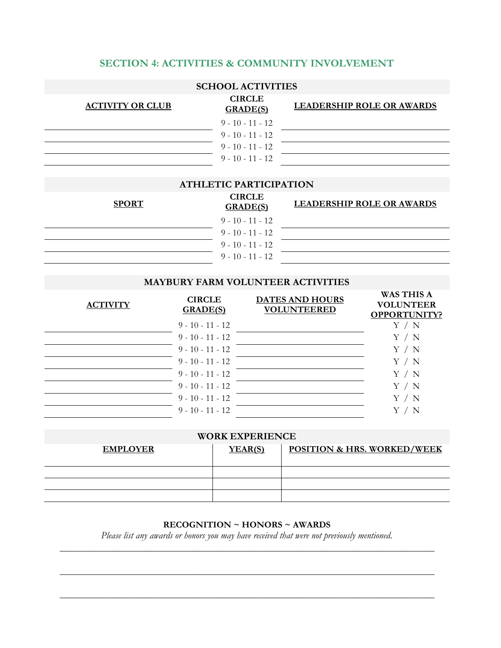#### **SECTION 4: ACTIVITIES & COMMUNITY INVOLVEMENT**

| <b>SCHOOL ACTIVITIES</b> |                                  |                                  |  |
|--------------------------|----------------------------------|----------------------------------|--|
| <b>ACTIVITY OR CLUB</b>  | <b>CIRCLE</b><br><b>GRADE(S)</b> | <b>LEADERSHIP ROLE OR AWARDS</b> |  |
|                          | $9 - 10 - 11 - 12$               |                                  |  |
|                          | $9 - 10 - 11 - 12$               |                                  |  |
|                          | $9 - 10 - 11 - 12$               |                                  |  |
|                          | $9 - 10 - 11 - 12$               |                                  |  |

#### **ATHLETIC PARTICIPATION**

| <b>SPORT</b> | <b>CIRCLE</b><br><b>GRADE(S)</b> | <b>LEADERSHIP ROLE OR AWARDS</b> |
|--------------|----------------------------------|----------------------------------|
|              | $9 - 10 - 11 - 12$               |                                  |
|              | $9 - 10 - 11 - 12$               |                                  |
|              | $9 - 10 - 11 - 12$               |                                  |
|              | $9 - 10 - 11 - 12$               |                                  |
|              |                                  |                                  |

#### **MAYBURY FARM VOLUNTEER ACTIVITIES**

| <b>ACTIVITY</b> | <b>CIRCLE</b><br><b>GRADE(S)</b> | <b>DATES AND HOURS</b><br><b>VOLUNTEERED</b> | <b>WAS THIS A</b><br><b>VOLUNTEER</b><br><b>OPPORTUNITY?</b> |
|-----------------|----------------------------------|----------------------------------------------|--------------------------------------------------------------|
|                 | $9 - 10 - 11 - 12$               |                                              | 'N                                                           |
|                 | $9 - 10 - 11 - 12$               |                                              | Y / N                                                        |
|                 | $9 - 10 - 11 - 12$               |                                              | Y / N                                                        |
|                 | $9 - 10 - 11 - 12$               |                                              | Y / N                                                        |
|                 | $9 - 10 - 11 - 12$               |                                              | Y / N                                                        |
|                 | $9 - 10 - 11 - 12$               |                                              | Y<br>$^\prime\,$ N                                           |
|                 | $9 - 10 - 11 - 12$               |                                              | Y<br>$^\prime\,$ N                                           |
|                 | $9 - 10 - 11 - 12$               |                                              |                                                              |

#### **WORK EXPERIENCE**

| <b>EMPLOYER</b> | YEAR(S) | <b>POSITION &amp; HRS. WORKED/WEEK</b> |  |
|-----------------|---------|----------------------------------------|--|
|                 |         |                                        |  |
|                 |         |                                        |  |
|                 |         |                                        |  |
|                 |         |                                        |  |

#### **RECOGNITION ~ HONORS ~ AWARDS**

*Please list any awards or honors you may have received that were not previously mentioned.* \_\_\_\_\_\_\_\_\_\_\_\_\_\_\_\_\_\_\_\_\_\_\_\_\_\_\_\_\_\_\_\_\_\_\_\_\_\_\_\_\_\_\_\_\_\_\_\_\_\_\_\_\_\_\_\_\_\_\_\_\_\_\_\_\_\_\_\_\_\_\_\_\_\_\_\_\_\_\_\_\_\_\_

\_\_\_\_\_\_\_\_\_\_\_\_\_\_\_\_\_\_\_\_\_\_\_\_\_\_\_\_\_\_\_\_\_\_\_\_\_\_\_\_\_\_\_\_\_\_\_\_\_\_\_\_\_\_\_\_\_\_\_\_\_\_\_\_\_\_\_\_\_\_\_\_\_\_\_\_\_\_\_\_\_\_\_

\_\_\_\_\_\_\_\_\_\_\_\_\_\_\_\_\_\_\_\_\_\_\_\_\_\_\_\_\_\_\_\_\_\_\_\_\_\_\_\_\_\_\_\_\_\_\_\_\_\_\_\_\_\_\_\_\_\_\_\_\_\_\_\_\_\_\_\_\_\_\_\_\_\_\_\_\_\_\_\_\_\_\_